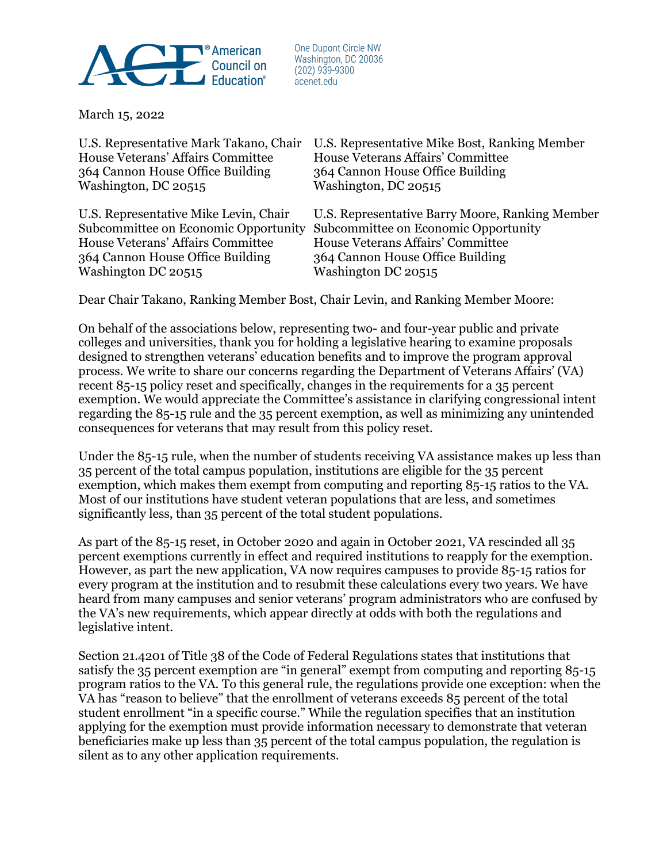

One Dupont Circle NW Washington, DC 20036  $(202)$  939-9300 acenet.edu

March 15, 2022

House Veterans' Affairs Committee House Veterans Affairs' Committee 364 Cannon House Office Building 364 Cannon House Office Building Washington, DC 20515 Washington, DC 20515

House Veterans' Affairs Committee House Veterans Affairs' Committee 364 Cannon House Office Building 364 Cannon House Office Building Washington DC 20515

U.S. Representative Mark Takano, Chair U.S. Representative Mike Bost, Ranking Member

U.S. Representative Mike Levin, Chair U.S. Representative Barry Moore, Ranking Member Subcommittee on Economic Opportunity Subcommittee on Economic Opportunity

Dear Chair Takano, Ranking Member Bost, Chair Levin, and Ranking Member Moore:

On behalf of the associations below, representing two- and four-year public and private colleges and universities, thank you for holding a legislative hearing to examine proposals designed to strengthen veterans' education benefits and to improve the program approval process. We write to share our concerns regarding the Department of Veterans Affairs' (VA) recent 85-15 policy reset and specifically, changes in the requirements for a 35 percent exemption. We would appreciate the Committee's assistance in clarifying congressional intent regarding the 85-15 rule and the 35 percent exemption, as well as minimizing any unintended consequences for veterans that may result from this policy reset.

Under the 85-15 rule, when the number of students receiving VA assistance makes up less than 35 percent of the total campus population, institutions are eligible for the 35 percent exemption, which makes them exempt from computing and reporting 85-15 ratios to the VA. Most of our institutions have student veteran populations that are less, and sometimes significantly less, than 35 percent of the total student populations.

As part of the 85-15 reset, in October 2020 and again in October 2021, VA rescinded all 35 percent exemptions currently in effect and required institutions to reapply for the exemption. However, as part the new application, VA now requires campuses to provide 85-15 ratios for every program at the institution and to resubmit these calculations every two years. We have heard from many campuses and senior veterans' program administrators who are confused by the VA's new requirements, which appear directly at odds with both the regulations and legislative intent.

Section 21.4201 of Title 38 of the Code of Federal Regulations states that institutions that satisfy the 35 percent exemption are "in general" exempt from computing and reporting 85-15 program ratios to the VA. To this general rule, the regulations provide one exception: when the VA has "reason to believe" that the enrollment of veterans exceeds 85 percent of the total student enrollment "in a specific course." While the regulation specifies that an institution applying for the exemption must provide information necessary to demonstrate that veteran beneficiaries make up less than 35 percent of the total campus population, the regulation is silent as to any other application requirements.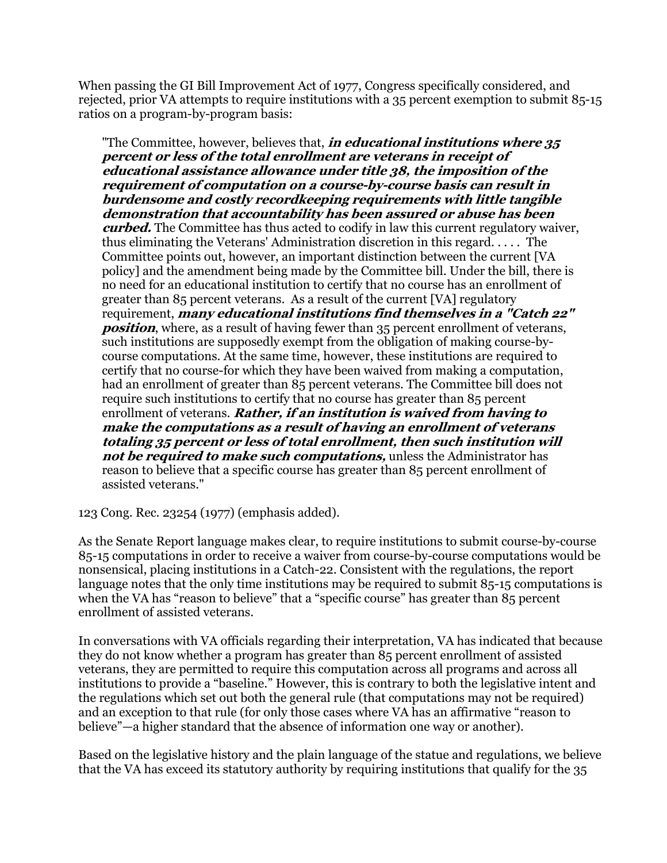When passing the GI Bill Improvement Act of 1977, Congress specifically considered, and rejected, prior VA attempts to require institutions with a 35 percent exemption to submit 85-15 ratios on a program-by-program basis:

"The Committee, however, believes that, **in educational institutions where 35 percent or less of the total enrollment are veterans in receipt of educational assistance allowance under title 38, the imposition of the requirement of computation on a course-by-course basis can result in burdensome and costly recordkeeping requirements with little tangible demonstration that accountability has been assured or abuse has been curbed.** The Committee has thus acted to codify in law this current regulatory waiver, thus eliminating the Veterans' Administration discretion in this regard. . . . . The Committee points out, however, an important distinction between the current [VA policy] and the amendment being made by the Committee bill. Under the bill, there is no need for an educational institution to certify that no course has an enrollment of greater than 85 percent veterans. As a result of the current [VA] regulatory requirement, **many educational institutions find themselves in a "Catch 22"**  *position*, where, as a result of having fewer than 35 percent enrollment of veterans, such institutions are supposedly exempt from the obligation of making course-bycourse computations. At the same time, however, these institutions are required to certify that no course-for which they have been waived from making a computation, had an enrollment of greater than 85 percent veterans. The Committee bill does not require such institutions to certify that no course has greater than 85 percent enrollment of veterans. **Rather, if an institution is waived from having to make the computations as a result of having an enrollment of veterans totaling 35 percent or less of total enrollment, then such institution will not be required to make such computations, unless the Administrator has** reason to believe that a specific course has greater than 85 percent enrollment of assisted veterans."

123 Cong. Rec. 23254 (1977) (emphasis added).

As the Senate Report language makes clear, to require institutions to submit course-by-course 85-15 computations in order to receive a waiver from course-by-course computations would be nonsensical, placing institutions in a Catch-22. Consistent with the regulations, the report language notes that the only time institutions may be required to submit 85-15 computations is when the VA has "reason to believe" that a "specific course" has greater than 85 percent enrollment of assisted veterans.

In conversations with VA officials regarding their interpretation, VA has indicated that because they do not know whether a program has greater than 85 percent enrollment of assisted veterans, they are permitted to require this computation across all programs and across all institutions to provide a "baseline." However, this is contrary to both the legislative intent and the regulations which set out both the general rule (that computations may not be required) and an exception to that rule (for only those cases where VA has an affirmative "reason to believe"—a higher standard that the absence of information one way or another).

Based on the legislative history and the plain language of the statue and regulations, we believe that the VA has exceed its statutory authority by requiring institutions that qualify for the 35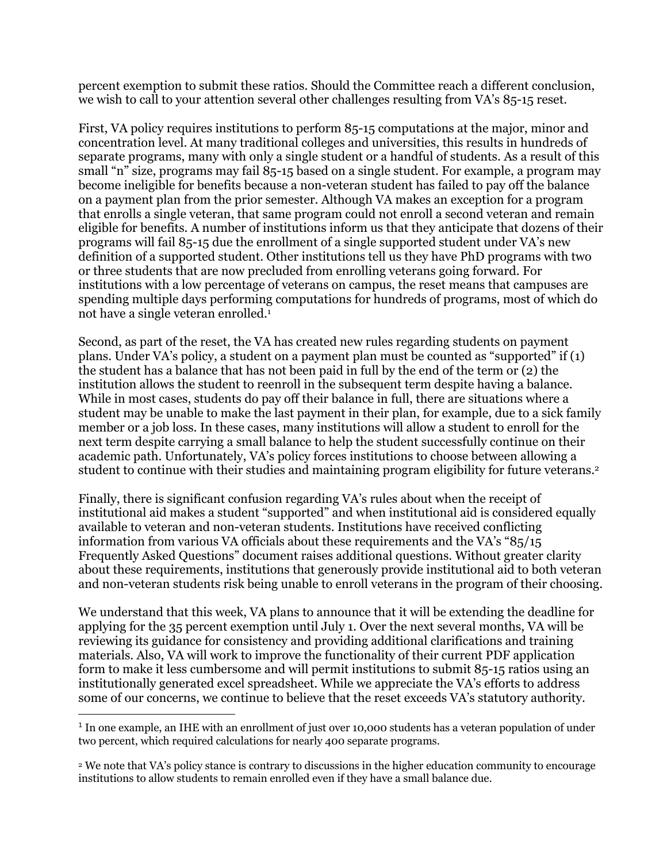percent exemption to submit these ratios. Should the Committee reach a different conclusion, we wish to call to your attention several other challenges resulting from VA's 85-15 reset.

First, VA policy requires institutions to perform 85-15 computations at the major, minor and concentration level. At many traditional colleges and universities, this results in hundreds of separate programs, many with only a single student or a handful of students. As a result of this small "n" size, programs may fail 85-15 based on a single student. For example, a program may become ineligible for benefits because a non-veteran student has failed to pay off the balance on a payment plan from the prior semester. Although VA makes an exception for a program that enrolls a single veteran, that same program could not enroll a second veteran and remain eligible for benefits. A number of institutions inform us that they anticipate that dozens of their programs will fail 85-15 due the enrollment of a single supported student under VA's new definition of a supported student. Other institutions tell us they have PhD programs with two or three students that are now precluded from enrolling veterans going forward. For institutions with a low percentage of veterans on campus, the reset means that campuses are spending multiple days performing computations for hundreds of programs, most of which do not have a single veteran enrolled.1

Second, as part of the reset, the VA has created new rules regarding students on payment plans. Under VA's policy, a student on a payment plan must be counted as "supported" if (1) the student has a balance that has not been paid in full by the end of the term or (2) the institution allows the student to reenroll in the subsequent term despite having a balance. While in most cases, students do pay off their balance in full, there are situations where a student may be unable to make the last payment in their plan, for example, due to a sick family member or a job loss. In these cases, many institutions will allow a student to enroll for the next term despite carrying a small balance to help the student successfully continue on their academic path. Unfortunately, VA's policy forces institutions to choose between allowing a student to continue with their studies and maintaining program eligibility for future veterans.2

Finally, there is significant confusion regarding VA's rules about when the receipt of institutional aid makes a student "supported" and when institutional aid is considered equally available to veteran and non-veteran students. Institutions have received conflicting information from various VA officials about these requirements and the VA's "85/15 Frequently Asked Questions" document raises additional questions. Without greater clarity about these requirements, institutions that generously provide institutional aid to both veteran and non-veteran students risk being unable to enroll veterans in the program of their choosing.

We understand that this week, VA plans to announce that it will be extending the deadline for applying for the 35 percent exemption until July 1. Over the next several months, VA will be reviewing its guidance for consistency and providing additional clarifications and training materials. Also, VA will work to improve the functionality of their current PDF application form to make it less cumbersome and will permit institutions to submit 85-15 ratios using an institutionally generated excel spreadsheet. While we appreciate the VA's efforts to address some of our concerns, we continue to believe that the reset exceeds VA's statutory authority.

<sup>&</sup>lt;sup>1</sup> In one example, an IHE with an enrollment of just over 10,000 students has a veteran population of under two percent, which required calculations for nearly 400 separate programs.

<sup>2</sup> We note that VA's policy stance is contrary to discussions in the higher education community to encourage institutions to allow students to remain enrolled even if they have a small balance due.